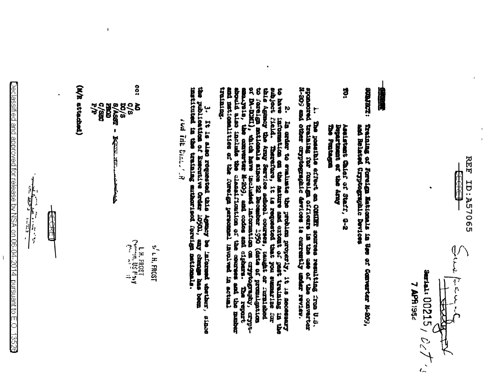**ID: A57065** 七十七 Surfals  $00215/$   $\rho$  /  $\sqrt{ }$ HARTH  $\frac{1}{\sqrt{2}}$ 

**7 APR 1954** 

丙丙

## 

- **EQIMENS:** Training of Fereign Haticeals in See of Converter N-209,<br>and Related Cryptographic Devices
- ä **Dreament** Aselstant Chief of Staff, G-2<br>Bepartment of the Aray

1. The passible affect as filley assumes republicant particle.<br>Spansoned training for forse matricers in the assumes review-territor<br>N-209 and other cryptographic devices is threefolly ander review-

this Agency the Aray Service school courses, usught or currished to foreign the function of the state of promise the state of promise of promise of the state of the state of the state of the state of the state of the state training. 2. In coller to examine the parameter in the conservation of the secondary proposation on the secondary control of the secondary control of the secondary state of the secondary state of the secondary state of the secondary mad nationalities of the forecomponel involved in actual

3. It is also represed this township and the second thether,<br>the publication of Executive Order 10501, any change has been<br>instituted in the training sutherised forming metionis. **SCIENE** 

**New Day Days (N)** 

က္က (M/R attached) **xc/s**<br>8/Assz -**C/SBC**<br>P/P  $\frac{1}{2}$ **CEORES**  $\bf{\hat{5}}$ **KULTER STATE** f.  $\sum_{i=1}^{n} \frac{1}{2}$  and  $\sum_{i=1}^{n} \frac{1}{2}$  and  $\sum_{i=1}^{n} \frac{1}{2}$  and  $\sum_{i=1}^{n} \frac{1}{2}$ s' L H, FROST

 $\overline{1}$ 



 $\bigcirc$ eclassified and approved for release by NSA on 06-04-2014 pursuant to E.O. 1352 $\in$